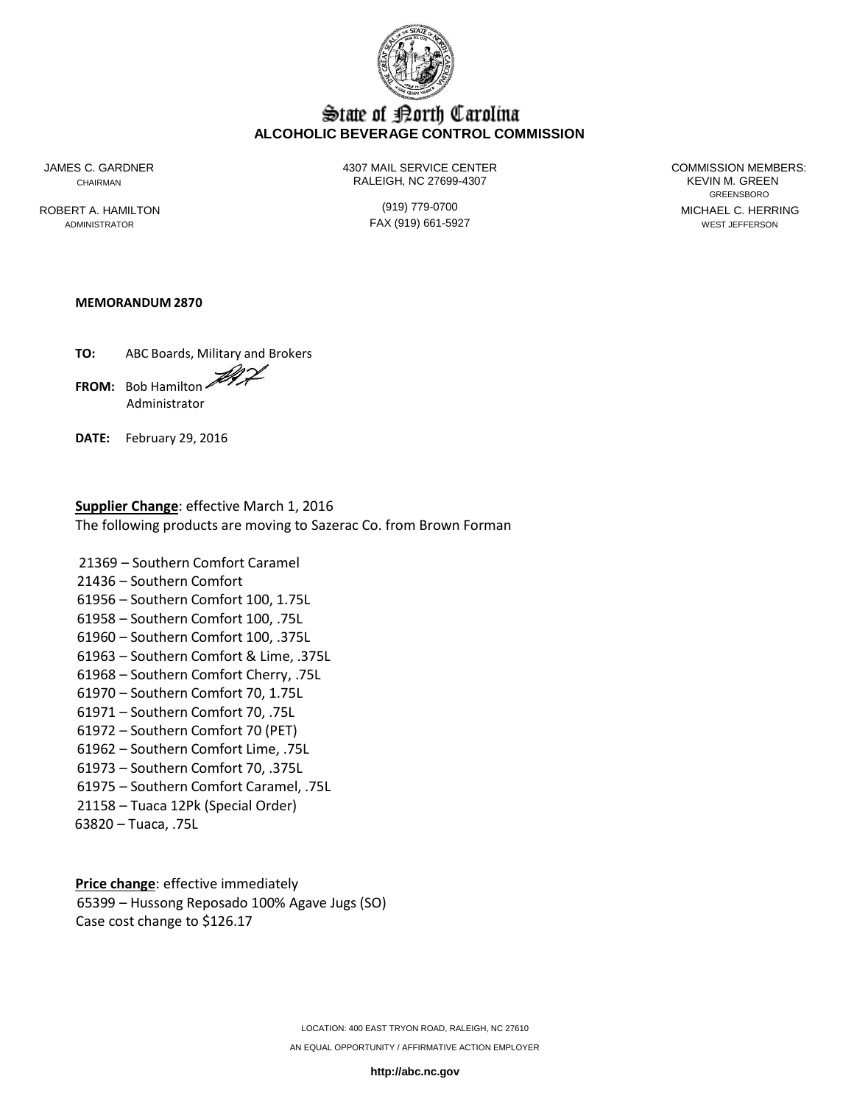

# State of Borth Carolina **ALCOHOLIC BEVERAGE CONTROL COMMISSION**

JAMES C. GARDNER

ROBERT A. HAMILTON ADMINISTRATOR

4307 MAIL SERVICE CENTER COMMISSION MEMBERS: CHAIRMAN RALEIGH, NC 27699-4307 KEVIN M. GREEN

> (919) 779-0700 FAX (919) 661-5927

GREENSBORO MICHAEL C. HERRING WEST JEFFERSON

# **MEMORANDUM 2870**

**TO:** ABC Boards, Military and Brokers **FROM:** Bob Hamilton Administrator

**DATE:** February 29, 2016

# **Supplier Change**: effective March 1, 2016 The following products are moving to Sazerac Co. from Brown Forman

 – Southern Comfort Caramel – Southern Comfort – Southern Comfort 100, 1.75L – Southern Comfort 100, .75L – Southern Comfort 100, .375L – Southern Comfort & Lime, .375L – Southern Comfort Cherry, .75L – Southern Comfort 70, 1.75L – Southern Comfort 70, .75L – Southern Comfort 70 (PET) – Southern Comfort Lime, .75L – Southern Comfort 70, .375L – Southern Comfort Caramel, .75L – Tuaca 12Pk (Special Order)

63820 – Tuaca, .75L

**Price change**: effective immediately 65399 – Hussong Reposado 100% Agave Jugs (SO) Case cost change to \$126.17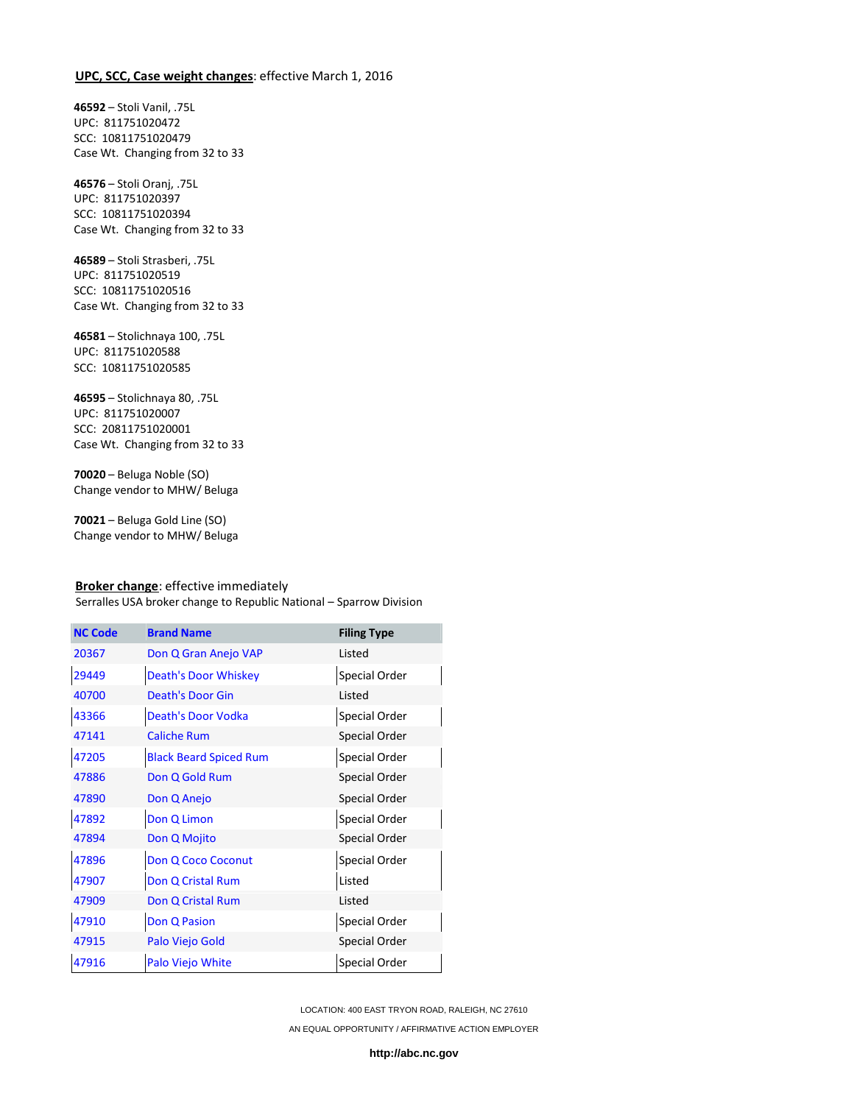# **UPC, SCC, Case weight changes**: effective March 1, 2016

**46592** – Stoli Vanil, .75L UPC: 811751020472 SCC: 10811751020479 Case Wt. Changing from 32 to 33

**46576** – Stoli Oranj, .75L UPC: 811751020397 SCC: 10811751020394 Case Wt. Changing from 32 to 33

**46589** – Stoli Strasberi, .75L UPC: 811751020519 SCC: 10811751020516 Case Wt. Changing from 32 to 33

**46581** – Stolichnaya 100, .75L UPC: 811751020588 SCC: 10811751020585

**46595** – Stolichnaya 80, .75L UPC: 811751020007 SCC: 20811751020001 Case Wt. Changing from 32 to 33

**70020** – Beluga Noble (SO) Change vendor to MHW/ Beluga

**70021** – Beluga Gold Line (SO) Change vendor to MHW/ Beluga

#### **Broker change**: effective immediately

Serralles USA broker change to Republic National – Sparrow Division

| <b>NC Code</b> | <b>Brand Name</b>             | <b>Filing Type</b> |
|----------------|-------------------------------|--------------------|
| 20367          | Don Q Gran Anejo VAP          | Listed             |
| 29449          | <b>Death's Door Whiskey</b>   | Special Order      |
| 40700          | <b>Death's Door Gin</b>       | Listed             |
| 43366          | Death's Door Vodka            | Special Order      |
| 47141          | <b>Caliche Rum</b>            | Special Order      |
| 47205          | <b>Black Beard Spiced Rum</b> | Special Order      |
| 47886          | Don Q Gold Rum                | Special Order      |
| 47890          | Don Q Anejo                   | Special Order      |
| 47892          | Don Q Limon                   | Special Order      |
| 47894          | Don Q Mojito                  | Special Order      |
| 47896          | Don Q Coco Coconut            | Special Order      |
| 47907          | Don Q Cristal Rum             | Listed             |
| 47909          | Don Q Cristal Rum             | Listed             |
| 47910          | <b>Don Q Pasion</b>           | Special Order      |
| 47915          | Palo Viejo Gold               | Special Order      |
| 47916          | Palo Viejo White              | Special Order      |

LOCATION: 400 EAST TRYON ROAD, RALEIGH, NC 27610 AN EQUAL OPPORTUNITY / AFFIRMATIVE ACTION EMPLOYER

**[http://abc.nc.gov](http://abc.nc.gov/)**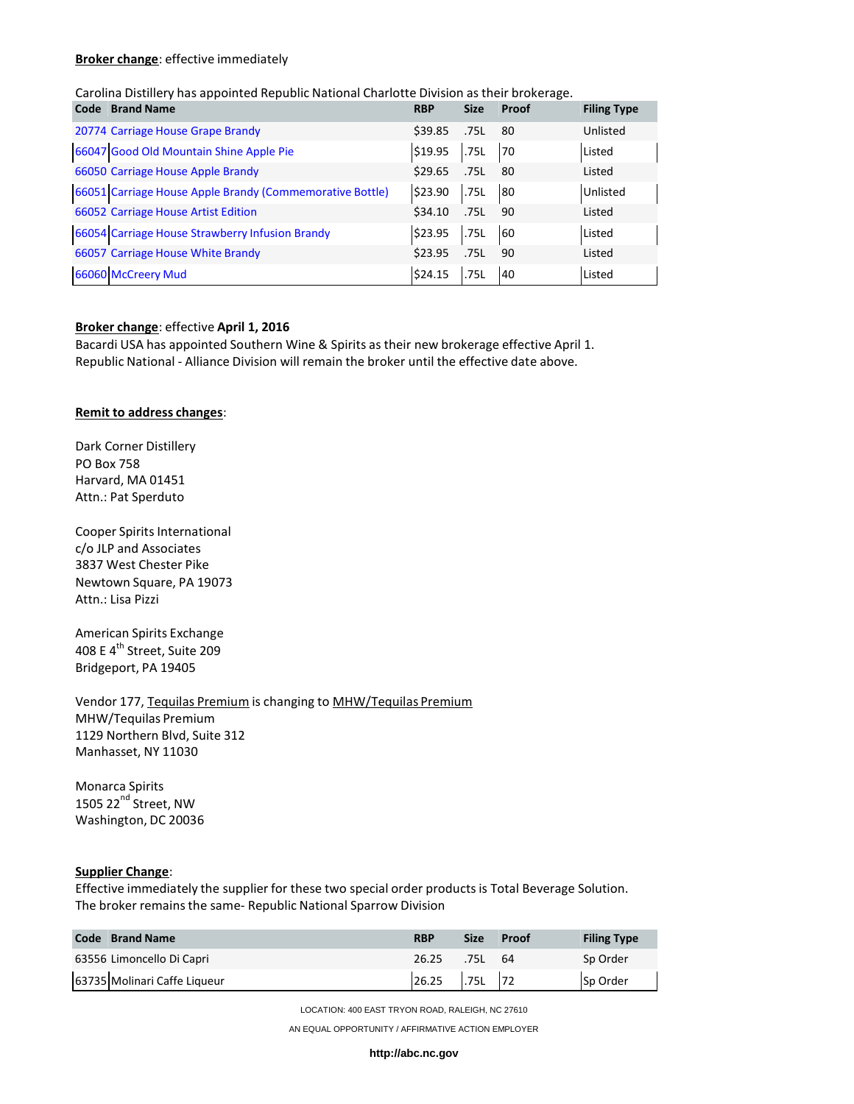#### **Broker change**: effective immediately

#### Carolina Distillery has appointed Republic National Charlotte Division as their brokerage.

| <b>Brand Name</b><br>Code                                | <b>RBP</b> | <b>Size</b> | Proof | <b>Filing Type</b> |
|----------------------------------------------------------|------------|-------------|-------|--------------------|
| 20774 Carriage House Grape Brandy                        | \$39.85    | .75L        | 80    | Unlisted           |
| 66047 Good Old Mountain Shine Apple Pie                  | \$19.95    | .75L        | 70    | Listed             |
| 66050 Carriage House Apple Brandy                        | \$29.65    | .75L        | 80    | Listed             |
| 66051 Carriage House Apple Brandy (Commemorative Bottle) | \$23.90    | .75L        | 80    | Unlisted           |
| 66052 Carriage House Artist Edition                      | \$34.10    | .75L        | 90    | Listed             |
| 66054 Carriage House Strawberry Infusion Brandy          | \$23.95    | .75L        | 60    | Listed             |
| 66057 Carriage House White Brandy                        | \$23.95    | .75L        | 90    | Listed             |
| 66060 McCreery Mud                                       | \$24.15    | .75L        | 40    | Listed             |

#### **Broker change**: effective **April 1, 2016**

Bacardi USA has appointed Southern Wine & Spirits as their new brokerage effective April 1. Republic National - Alliance Division will remain the broker until the effective date above.

# **Remit to address changes**:

Dark Corner Distillery PO Box 758 Harvard, MA 01451 Attn.: Pat Sperduto

Cooper Spirits International c/o JLP and Associates 3837 West Chester Pike Newtown Square, PA 19073 Attn.: Lisa Pizzi

American Spirits Exchange 408 E 4<sup>th</sup> Street, Suite 209 Bridgeport, PA 19405

Vendor 177, Tequilas Premium is changing to MHW/Tequilas Premium MHW/Tequilas Premium 1129 Northern Blvd, Suite 312 Manhasset, NY 11030

Monarca Spirits 1505 22<sup>nd</sup> Street, NW Washington, DC 20036

#### **Supplier Change**:

Effective immediately the supplier for these two special order productsis Total Beverage Solution. The broker remains the same- Republic National Sparrow Division

| <b>Code</b> Brand Name       | <b>RBP</b>      | <b>Size</b> | Proof | <b>Filing Type</b> |
|------------------------------|-----------------|-------------|-------|--------------------|
| 63556 Limoncello Di Capri    | 26.25           | .75L 64     |       | Sp Order           |
| 63735 Molinari Caffe Liqueur | $26.25$ .75L 72 |             |       | Sp Order           |

LOCATION: 400 EAST TRYON ROAD, RALEIGH, NC 27610

AN EQUAL OPPORTUNITY / AFFIRMATIVE ACTION EMPLOYER